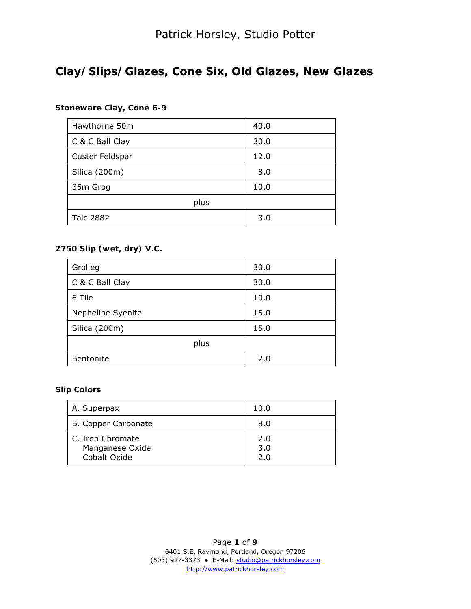## **Clay/Slips/Glazes, Cone Six, Old Glazes, New Glazes**

**Stoneware Clay, Cone 6-9**

| Hawthorne 50m    | 40.0 |
|------------------|------|
| C & C Ball Clay  | 30.0 |
| Custer Feldspar  | 12.0 |
| Silica (200m)    | 8.0  |
| 35m Grog         | 10.0 |
| plus             |      |
| <b>Talc 2882</b> | 3.0  |

**2750 Slip (wet, dry) V.C.**

| Grolleg           | 30.0 |
|-------------------|------|
| C & C Ball Clay   | 30.0 |
| 6 Tile            | 10.0 |
| Nepheline Syenite | 15.0 |
| Silica (200m)     | 15.0 |
| plus              |      |
| Bentonite         | 2.0  |

**Slip Colors**

| A. Superpax                                         | 10.0              |
|-----------------------------------------------------|-------------------|
| <b>B. Copper Carbonate</b>                          | 8.0               |
| C. Iron Chromate<br>Manganese Oxide<br>Cobalt Oxide | 2.0<br>3.0<br>2.0 |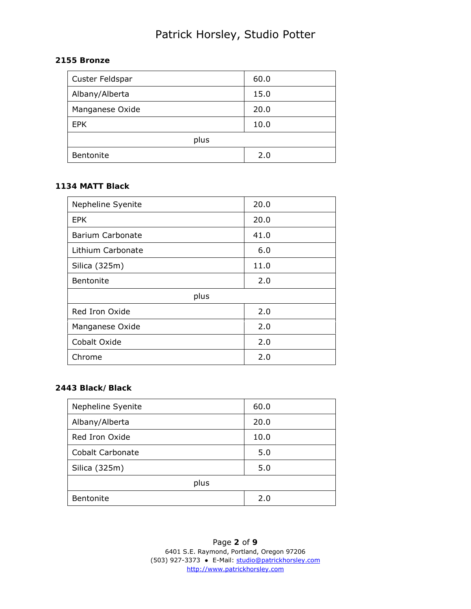### **2155 Bronze**

| Custer Feldspar | 60.0 |
|-----------------|------|
| Albany/Alberta  | 15.0 |
| Manganese Oxide | 20.0 |
| <b>EPK</b>      | 10.0 |
| plus            |      |
| Bentonite       | 2.0  |

### **1134 MATT Black**

| Nepheline Syenite       | 20.0 |  |
|-------------------------|------|--|
| <b>EPK</b>              | 20.0 |  |
| <b>Barium Carbonate</b> | 41.0 |  |
| Lithium Carbonate       | 6.0  |  |
| Silica (325m)           | 11.0 |  |
| <b>Bentonite</b>        | 2.0  |  |
| plus                    |      |  |
| Red Iron Oxide          | 2.0  |  |
| Manganese Oxide         | 2.0  |  |
| Cobalt Oxide            | 2.0  |  |
| Chrome                  | 2.0  |  |

#### **2443 Black/Black**

| Nepheline Syenite       | 60.0 |  |
|-------------------------|------|--|
| Albany/Alberta          | 20.0 |  |
| Red Iron Oxide          | 10.0 |  |
| <b>Cobalt Carbonate</b> | 5.0  |  |
| Silica (325m)           | 5.0  |  |
| plus                    |      |  |
| Bentonite               | 2.0  |  |

Page **2** of **9** 6401 S.E. Raymond, Portland, Oregon 97206 (503) 927-3373 ● E-Mail: studio@patrickhorsley.com http://www.patrickhorsley.com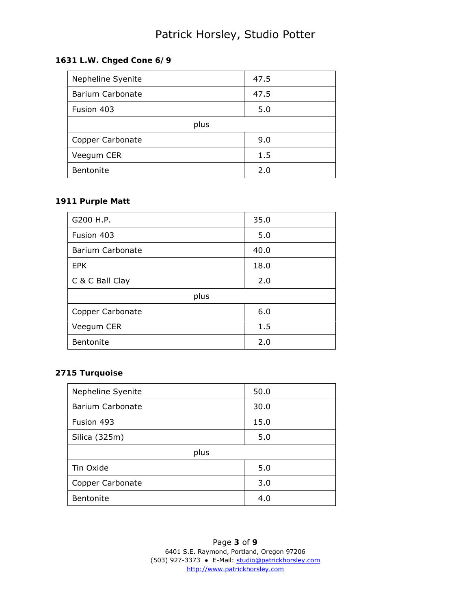**1631 L.W. Chged Cone 6/9**

| Nepheline Syenite       | 47.5 |  |
|-------------------------|------|--|
| <b>Barium Carbonate</b> | 47.5 |  |
| Fusion 403              | 5.0  |  |
| plus                    |      |  |
| Copper Carbonate        | 9.0  |  |
| Veegum CER              | 1.5  |  |
| <b>Bentonite</b>        | 2.0  |  |

#### **1911 Purple Matt**

| G200 H.P.               | 35.0 |  |
|-------------------------|------|--|
| Fusion 403              | 5.0  |  |
| <b>Barium Carbonate</b> | 40.0 |  |
| <b>EPK</b>              | 18.0 |  |
| C & C Ball Clay         | 2.0  |  |
| plus                    |      |  |
| Copper Carbonate        | 6.0  |  |
| Veegum CER              | 1.5  |  |
| <b>Bentonite</b>        | 2.0  |  |

### **2715 Turquoise**

| Nepheline Syenite       | 50.0 |  |
|-------------------------|------|--|
| <b>Barium Carbonate</b> | 30.0 |  |
| Fusion 493              | 15.0 |  |
| Silica (325m)           | 5.0  |  |
| plus                    |      |  |
| Tin Oxide               | 5.0  |  |
| Copper Carbonate        | 3.0  |  |
| Bentonite               | 4.0  |  |

Page **3** of **9** 6401 S.E. Raymond, Portland, Oregon 97206 (503) 927-3373 ● E-Mail: studio@patrickhorsley.com http://www.patrickhorsley.com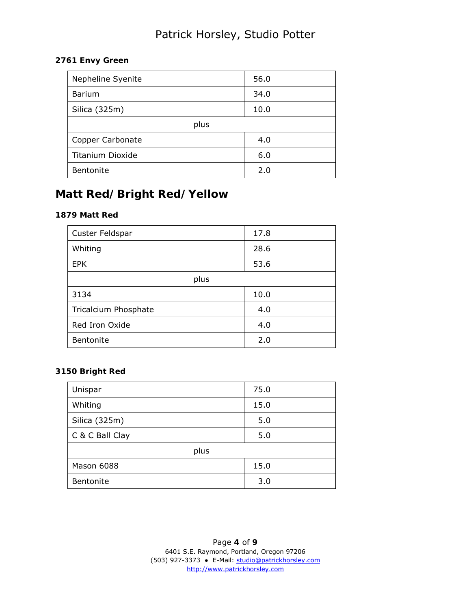### **2761 Envy Green**

| Nepheline Syenite       | 56.0 |  |
|-------------------------|------|--|
| <b>Barium</b>           | 34.0 |  |
| Silica (325m)           | 10.0 |  |
| plus                    |      |  |
| Copper Carbonate        | 4.0  |  |
| <b>Titanium Dioxide</b> | 6.0  |  |
| Bentonite               | 2.0  |  |

## **Matt Red/Bright Red/Yellow**

**1879 Matt Red**

| Custer Feldspar      | 17.8 |  |
|----------------------|------|--|
| Whiting              | 28.6 |  |
| <b>EPK</b>           | 53.6 |  |
| plus                 |      |  |
| 3134                 | 10.0 |  |
| Tricalcium Phosphate | 4.0  |  |
| Red Iron Oxide       | 4.0  |  |
| Bentonite            | 2.0  |  |

**3150 Bright Red**

| Unispar         | 75.0 |  |
|-----------------|------|--|
| Whiting         | 15.0 |  |
| Silica (325m)   | 5.0  |  |
| C & C Ball Clay | 5.0  |  |
| plus            |      |  |
| Mason 6088      | 15.0 |  |
| Bentonite       | 3.0  |  |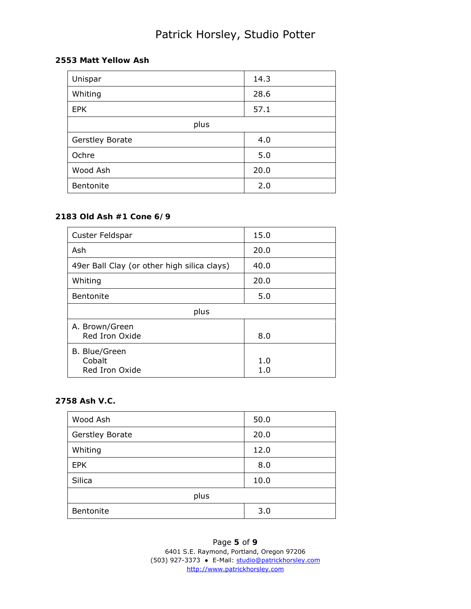**2553 Matt Yellow Ash**

| Unispar                | 14.3 |  |
|------------------------|------|--|
| Whiting                | 28.6 |  |
| <b>EPK</b>             | 57.1 |  |
| plus                   |      |  |
| <b>Gerstley Borate</b> | 4.0  |  |
| Ochre                  | 5.0  |  |
| Wood Ash               | 20.0 |  |
| Bentonite              | 2.0  |  |

**2183 Old Ash #1 Cone 6/9**

| Custer Feldspar                             | 15.0       |  |
|---------------------------------------------|------------|--|
| Ash                                         | 20.0       |  |
| 49er Ball Clay (or other high silica clays) | 40.0       |  |
| Whiting                                     | 20.0       |  |
| Bentonite                                   | 5.0        |  |
| plus                                        |            |  |
| A. Brown/Green<br>Red Iron Oxide            | 8.0        |  |
| B. Blue/Green<br>Cobalt<br>Red Iron Oxide   | 1.0<br>1.0 |  |

**2758 Ash V.C.**

| Wood Ash               | 50.0 |  |
|------------------------|------|--|
| <b>Gerstley Borate</b> | 20.0 |  |
| Whiting                | 12.0 |  |
| <b>EPK</b>             | 8.0  |  |
| Silica                 | 10.0 |  |
| plus                   |      |  |
| Bentonite              | 3.0  |  |

Page **5** of **9** 6401 S.E. Raymond, Portland, Oregon 97206 (503) 927-3373 ● E-Mail: studio@patrickhorsley.com http://www.patrickhorsley.com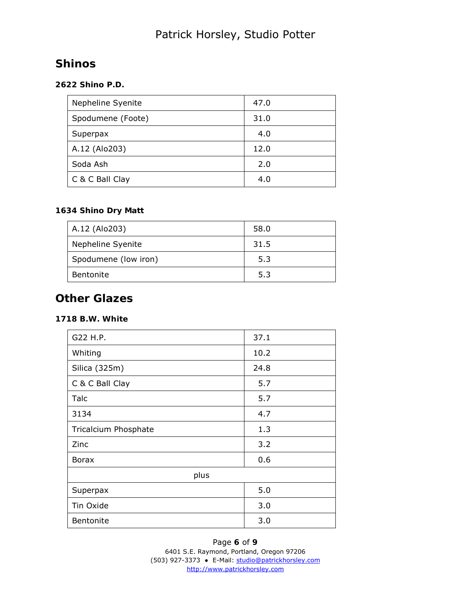### **Shinos**

**2622 Shino P.D.**

| Nepheline Syenite | 47.0 |
|-------------------|------|
| Spodumene (Foote) | 31.0 |
| Superpax          | 4.0  |
| A.12 (Alo203)     | 12.0 |
| Soda Ash          | 2.0  |
| C & C Ball Clay   | 4.0  |

**1634 Shino Dry Matt**

| A.12 (Alo203)        | 58.0 |
|----------------------|------|
| Nepheline Syenite    | 31.5 |
| Spodumene (low iron) | 5.3  |
| <b>Bentonite</b>     | 5.3  |

## **Other Glazes**

**1718 B.W. White**

| G22 H.P.             | 37.1 |  |
|----------------------|------|--|
|                      |      |  |
| Whiting              | 10.2 |  |
| Silica (325m)        | 24.8 |  |
| C & C Ball Clay      | 5.7  |  |
| Talc                 | 5.7  |  |
| 3134                 | 4.7  |  |
| Tricalcium Phosphate | 1.3  |  |
| Zinc                 | 3.2  |  |
| <b>Borax</b>         | 0.6  |  |
| plus                 |      |  |
| Superpax             | 5.0  |  |
| Tin Oxide            | 3.0  |  |
| Bentonite            | 3.0  |  |

Page **6** of **9** 6401 S.E. Raymond, Portland, Oregon 97206 (503) 927-3373 ● E-Mail: studio@patrickhorsley.com http://www.patrickhorsley.com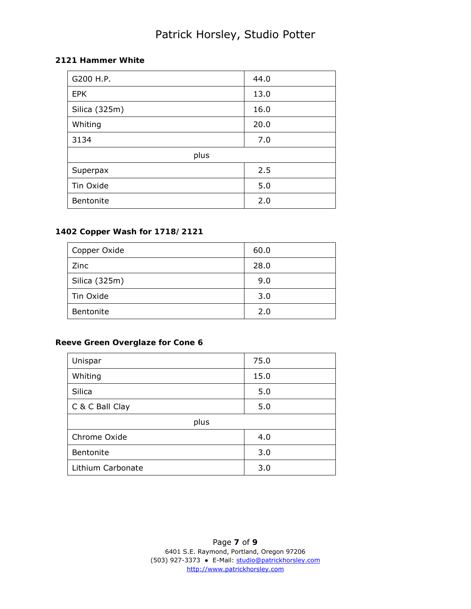### **2121 Hammer White**

| G200 H.P.     | 44.0 |
|---------------|------|
| <b>EPK</b>    | 13.0 |
| Silica (325m) | 16.0 |
| Whiting       | 20.0 |
| 3134          | 7.0  |
| plus          |      |
| Superpax      | 2.5  |
| Tin Oxide     | 5.0  |
| Bentonite     | 2.0  |

### **1402 Copper Wash for 1718/2121**

| Copper Oxide  | 60.0 |
|---------------|------|
| Zinc          | 28.0 |
| Silica (325m) | 9.0  |
| Tin Oxide     | 3.0  |
| Bentonite     | 2.0  |

### **Reeve Green Overglaze for Cone 6**

| Unispar           | 75.0 |  |
|-------------------|------|--|
| Whiting           | 15.0 |  |
| Silica            | 5.0  |  |
| C & C Ball Clay   | 5.0  |  |
| plus              |      |  |
| Chrome Oxide      | 4.0  |  |
| Bentonite         | 3.0  |  |
| Lithium Carbonate | 3.0  |  |

Page **7** of **9** 6401 S.E. Raymond, Portland, Oregon 97206 (503) 927-3373 ● E-Mail: studio@patrickhorsley.com http://www.patrickhorsley.com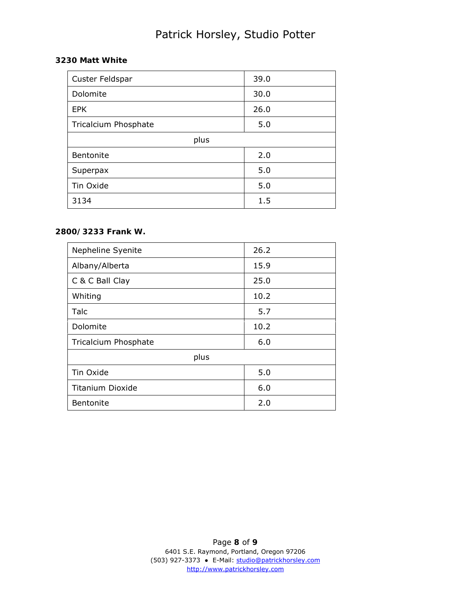**3230 Matt White**

| Custer Feldspar      | 39.0 |  |
|----------------------|------|--|
| Dolomite             | 30.0 |  |
| <b>EPK</b>           | 26.0 |  |
| Tricalcium Phosphate | 5.0  |  |
| plus                 |      |  |
| Bentonite            | 2.0  |  |
| Superpax             | 5.0  |  |
| Tin Oxide            | 5.0  |  |
| 3134                 | 1.5  |  |

**2800/3233 Frank W.**

| Nepheline Syenite       | 26.2 |  |
|-------------------------|------|--|
| Albany/Alberta          | 15.9 |  |
| C & C Ball Clay         | 25.0 |  |
| Whiting                 | 10.2 |  |
| Talc                    | 5.7  |  |
| Dolomite                | 10.2 |  |
| Tricalcium Phosphate    | 6.0  |  |
| plus                    |      |  |
| Tin Oxide               | 5.0  |  |
| <b>Titanium Dioxide</b> | 6.0  |  |
| <b>Bentonite</b>        | 2.0  |  |